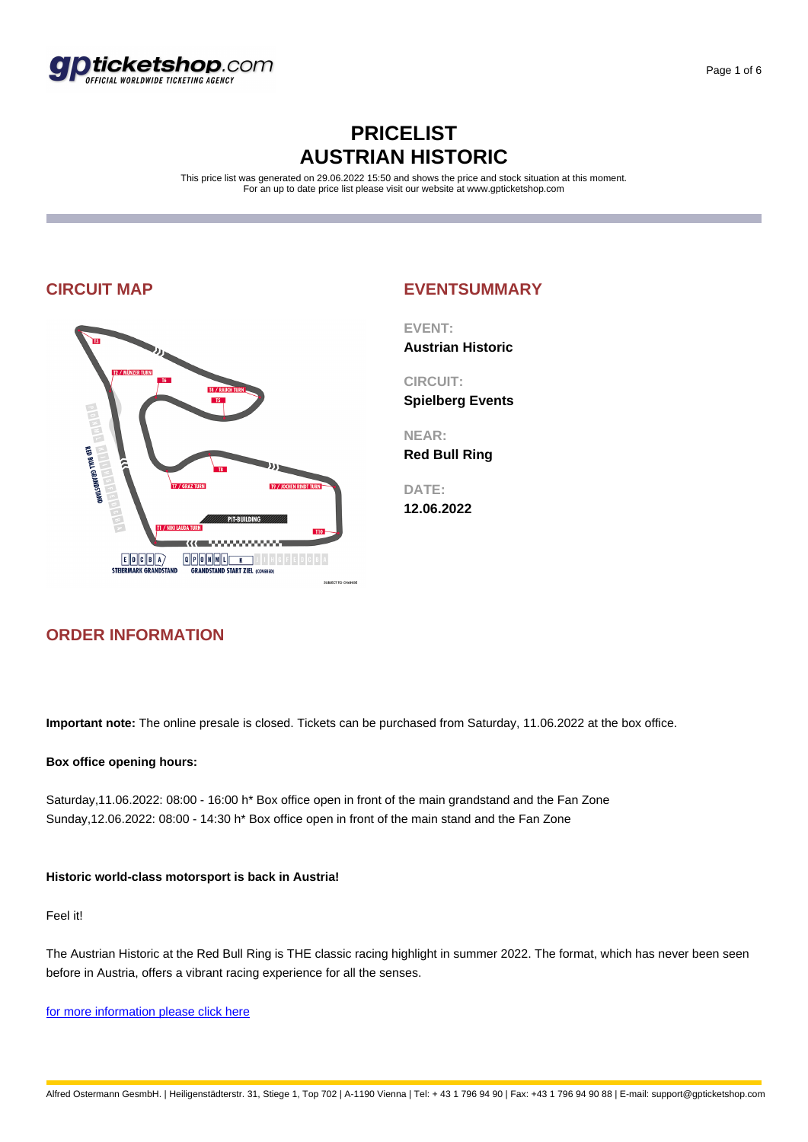

## **PRICELIST AUSTRIAN HISTORIC**

This price list was generated on 29.06.2022 15:50 and shows the price and stock situation at this moment. For an up to date price list please visit our website at www.gpticketshop.com



# **ORDER INFORMATION**

**CIRCUIT MAP EVENTSUMMARY**

**EVENT: Austrian Historic**

**CIRCUIT: Spielberg Events**

**NEAR:**

**Red Bull Ring**

**DATE: 12.06.2022**

**Important note:** The online presale is closed. Tickets can be purchased from Saturday, 11.06.2022 at the box office.

### **Box office opening hours:**

Saturday,11.06.2022: 08:00 - 16:00 h\* Box office open in front of the main grandstand and the Fan Zone Sunday,12.06.2022: 08:00 - 14:30 h\* Box office open in front of the main stand and the Fan Zone

### **Historic world-class motorsport is back in Austria!**

Feel it!

The Austrian Historic at the Red Bull Ring is THE classic racing highlight in summer 2022. The format, which has never been seen before in Austria, offers a vibrant racing experience for all the senses.

for more information please click here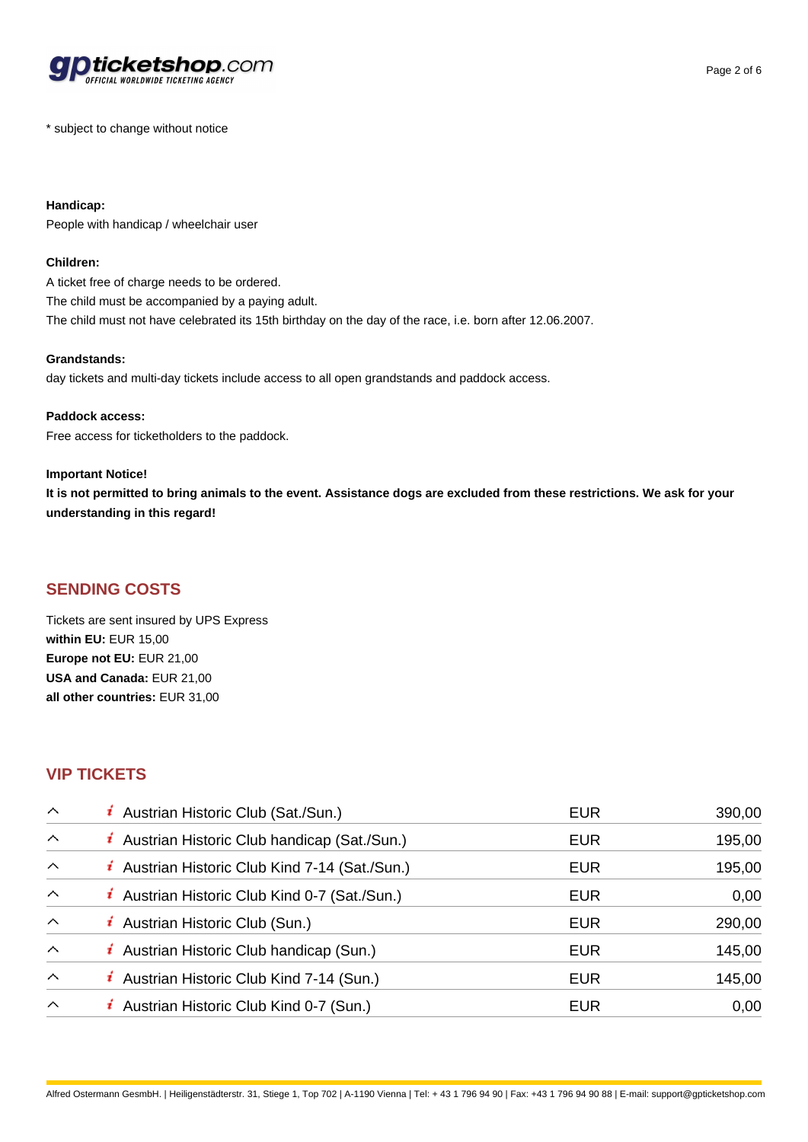

\* subject to change without notice

**Handicap:** People with handicap / wheelchair user

### **Children:**

A ticket free of charge needs to be ordered. The child must be accompanied by a paying adult. The child must not have celebrated its 15th birthday on the day of the race, i.e. born after 12.06.2007.

### **Grandstands:**

day tickets and multi-day tickets include access to all open grandstands and paddock access.

### **Paddock access:**

Free access for ticketholders to the paddock.

### **Important Notice!**

**It is not permitted to bring animals to the event. Assistance dogs are excluded from these restrictions. We ask for your understanding in this regard!** 

### **SENDING COSTS**

Tickets are sent insured by UPS Express **within EU:** EUR 15,00 **Europe not EU:** EUR 21,00 **USA and Canada:** EUR 21,00 **all other countries:** EUR 31,00

### **VIP TICKETS**

| $\sim$                  | <i>i</i> Austrian Historic Club (Sat./Sun.)           | <b>EUR</b> | 390,00 |
|-------------------------|-------------------------------------------------------|------------|--------|
| $\sim$                  | <i>i</i> Austrian Historic Club handicap (Sat./Sun.)  | <b>EUR</b> | 195,00 |
| $\wedge$                | <i>i</i> Austrian Historic Club Kind 7-14 (Sat./Sun.) | <b>EUR</b> | 195,00 |
| $\wedge$                | <i>i</i> Austrian Historic Club Kind 0-7 (Sat./Sun.)  | <b>EUR</b> | 0,00   |
| $\wedge$                | <i>i</i> Austrian Historic Club (Sun.)                | <b>EUR</b> | 290,00 |
| $\sim$                  | <i>i</i> Austrian Historic Club handicap (Sun.)       | <b>EUR</b> | 145,00 |
| $\widehat{\phantom{1}}$ | <i>i</i> Austrian Historic Club Kind 7-14 (Sun.)      | <b>EUR</b> | 145,00 |
| $\wedge$                | <i>i</i> Austrian Historic Club Kind 0-7 (Sun.)       | <b>EUR</b> | 0,00   |

Alfred Ostermann GesmbH. | Heiligenstädterstr. 31, Stiege 1, Top 702 | A-1190 Vienna | Tel: + 43 1 796 94 90 | Fax: +43 1 796 94 90 88 | E-mail: support@gpticketshop.com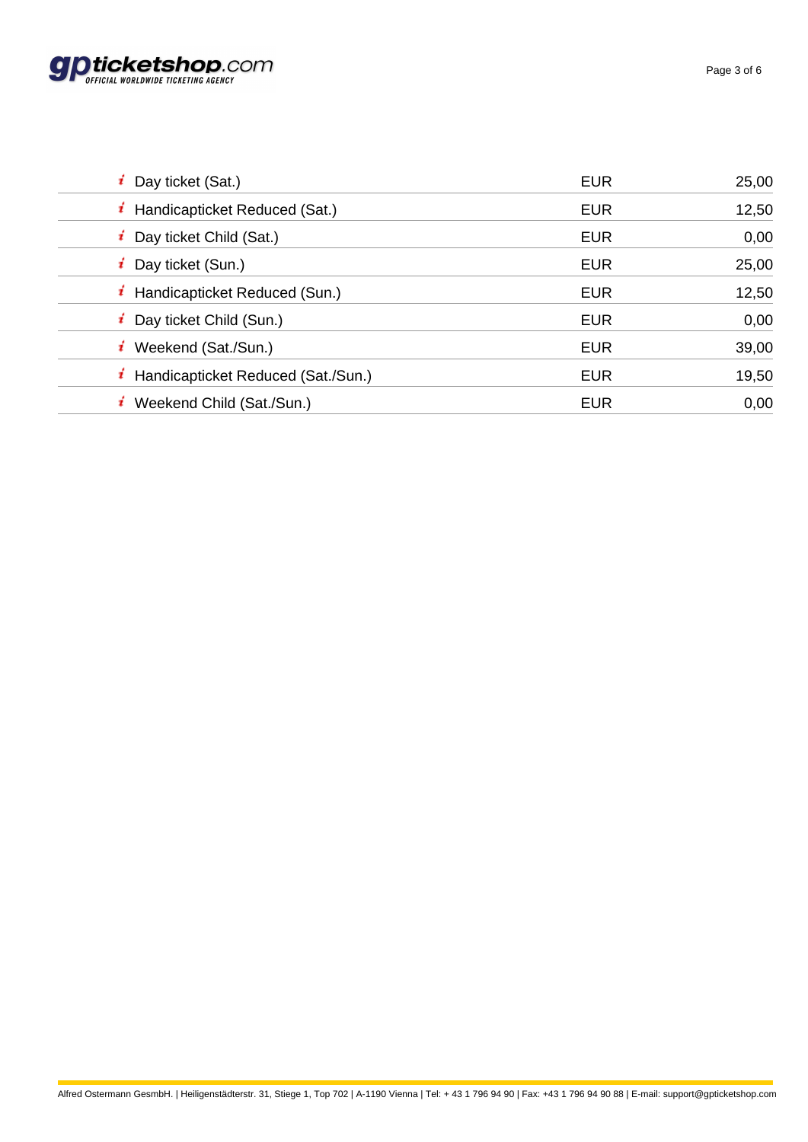

| Day ticket (Sat.)                           | <b>EUR</b> | 25,00 |
|---------------------------------------------|------------|-------|
| <i>i</i> Handicapticket Reduced (Sat.)      | <b>EUR</b> | 12,50 |
| <i>i</i> Day ticket Child (Sat.)            | <b>EUR</b> | 0,00  |
| <i>i</i> Day ticket (Sun.)                  | <b>EUR</b> | 25,00 |
| $\mathbf{i}$ Handicapticket Reduced (Sun.)  | <b>EUR</b> | 12,50 |
| <i>i</i> Day ticket Child (Sun.)            | <b>EUR</b> | 0,00  |
| $i$ Weekend (Sat./Sun.)                     | <b>EUR</b> | 39,00 |
| <i>i</i> Handicapticket Reduced (Sat./Sun.) | <b>EUR</b> | 19,50 |
| Weekend Child (Sat./Sun.)                   | <b>EUR</b> | 0,00  |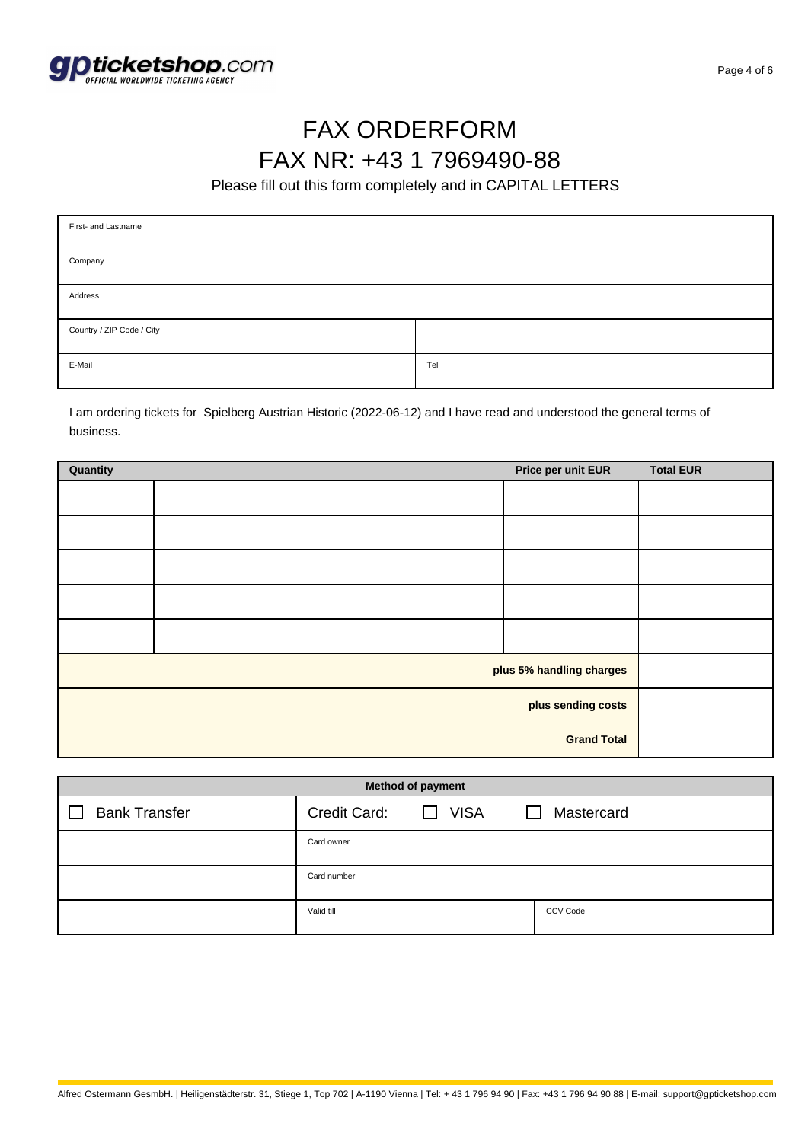

## FAX ORDERFORM FAX NR: +43 1 7969490-88

Please fill out this form completely and in CAPITAL LETTERS

| First- and Lastname       |     |  |  |
|---------------------------|-----|--|--|
| Company                   |     |  |  |
| Address                   |     |  |  |
| Country / ZIP Code / City |     |  |  |
| E-Mail                    | Tel |  |  |

I am ordering tickets for Spielberg Austrian Historic (2022-06-12) and I have read and understood the general terms of business.

| Quantity                 |  | Price per unit EUR | <b>Total EUR</b> |
|--------------------------|--|--------------------|------------------|
|                          |  |                    |                  |
|                          |  |                    |                  |
|                          |  |                    |                  |
|                          |  |                    |                  |
|                          |  |                    |                  |
| plus 5% handling charges |  |                    |                  |
| plus sending costs       |  |                    |                  |
| <b>Grand Total</b>       |  |                    |                  |

| <b>Method of payment</b> |              |                             |            |  |  |  |  |
|--------------------------|--------------|-----------------------------|------------|--|--|--|--|
| <b>Bank Transfer</b>     | Credit Card: | <b>VISA</b><br>$\mathbf{1}$ | Mastercard |  |  |  |  |
|                          | Card owner   |                             |            |  |  |  |  |
|                          | Card number  |                             |            |  |  |  |  |
|                          | Valid till   |                             | CCV Code   |  |  |  |  |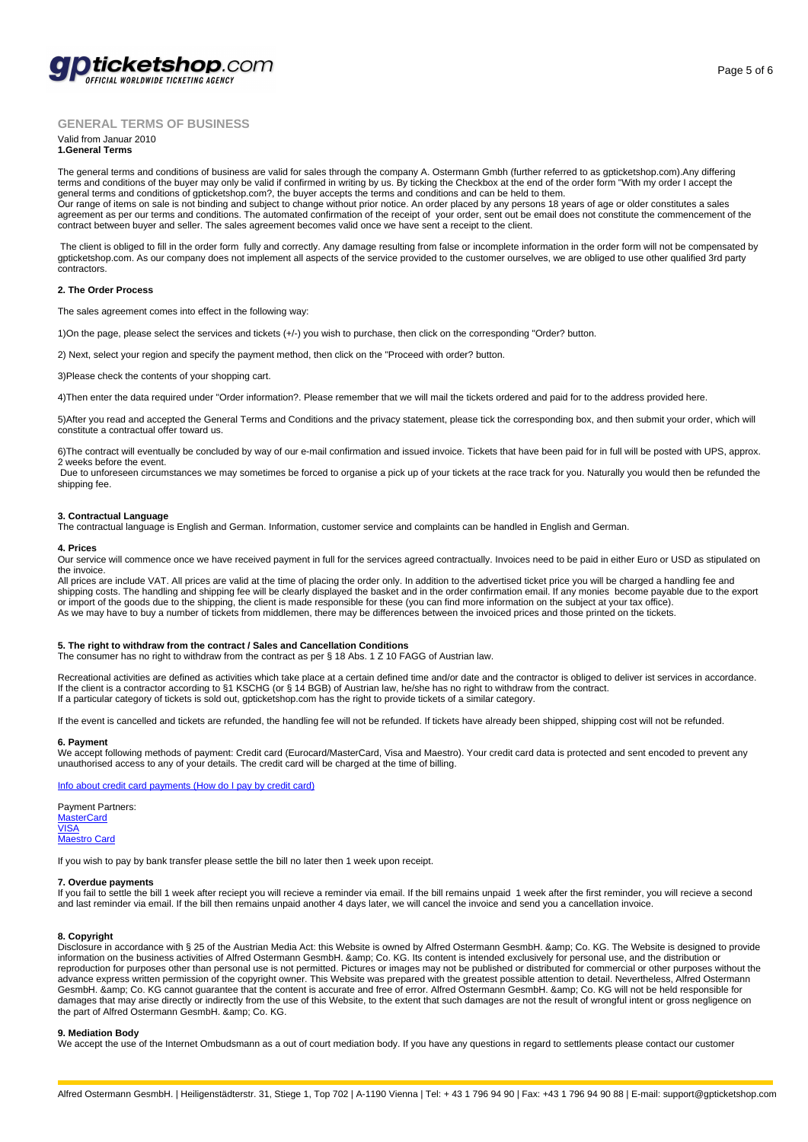

### **GENERAL TERMS OF BUSINESS**

#### Valid from Januar 2010 **1.General Terms**

The general terms and conditions of business are valid for sales through the company A. Ostermann Gmbh (further referred to as gpticketshop.com).Any differing terms and conditions of the buyer may only be valid if confirmed in writing by us. By ticking the Checkbox at the end of the order form "With my order I accept the general terms and conditions of gpticketshop.com?, the buyer accepts the terms and conditions and can be held to them.<br>Our range of items on sale is not binding and subject to change without prior notice. An order placed b agreement as per our terms and conditions. The automated confirmation of the receipt of your order, sent out be email does not constitute the commencement of the

contract between buyer and seller. The sales agreement becomes valid once we have sent a receipt to the client.

 The client is obliged to fill in the order form fully and correctly. Any damage resulting from false or incomplete information in the order form will not be compensated by gpticketshop.com. As our company does not implement all aspects of the service provided to the customer ourselves, we are obliged to use other qualified 3rd party contractors.

#### **2. The Order Process**

The sales agreement comes into effect in the following way:

1)On the page, please select the services and tickets (+/-) you wish to purchase, then click on the corresponding "Order? button.

2) Next, select your region and specify the payment method, then click on the "Proceed with order? button.

3)Please check the contents of your shopping cart.

4)Then enter the data required under "Order information?. Please remember that we will mail the tickets ordered and paid for to the address provided here.

5)After you read and accepted the General Terms and Conditions and the privacy statement, please tick the corresponding box, and then submit your order, which will constitute a contractual offer toward us.

6)The contract will eventually be concluded by way of our e-mail confirmation and issued invoice. Tickets that have been paid for in full will be posted with UPS, approx. 2 weeks before the event.

 Due to unforeseen circumstances we may sometimes be forced to organise a pick up of your tickets at the race track for you. Naturally you would then be refunded the shipping fee.

#### **3. Contractual Language**

The contractual language is English and German. Information, customer service and complaints can be handled in English and German.

#### **4. Prices**

Our service will commence once we have received payment in full for the services agreed contractually. Invoices need to be paid in either Euro or USD as stipulated on the invoice.

All prices are include VAT. All prices are valid at the time of placing the order only. In addition to the advertised ticket price you will be charged a handling fee and shipping costs. The handling and shipping fee will be clearly displayed the basket and in the order confirmation email. If any monies become payable due to the export or import of the goods due to the shipping, the client is made responsible for these (you can find more information on the subject at your tax office).<br>As we may have to buy a number of tickets from middlemen, there may be

#### **5. The right to withdraw from the contract / Sales and Cancellation Conditions**

The consumer has no right to withdraw from the contract as per § 18 Abs. 1 Z 10 FAGG of Austrian law.

Recreational activities are defined as activities which take place at a certain defined time and/or date and the contractor is obliged to deliver ist services in accordance. If the client is a contractor according to §1 KSCHG (or § 14 BGB) of Austrian law, he/she has no right to withdraw from the contract. If a particular category of tickets is sold out, gpticketshop.com has the right to provide tickets of a similar category.

If the event is cancelled and tickets are refunded, the handling fee will not be refunded. If tickets have already been shipped, shipping cost will not be refunded.

#### **6. Payment**

We accept following methods of payment: Credit card (Eurocard/MasterCard, Visa and Maestro). Your credit card data is protected and sent encoded to prevent any unauthorised access to any of your details. The credit card will be charged at the time of billing.

Info about credit card payments (How do I pay by credit card)

Payment Partners: **MasterCard** VISA Maestro Card

[If you wish to pay by bank transfer please settle the bill no late](http://www.gpticketshop.com/en/faq.html#2.2.1)r then 1 week upon receipt.

#### **[7. Overdue](http://www.mastercard.com/at/) payments**

[If you](http://www.visa.at/) fail to settle the bill 1 week after reciept you will recieve a reminder via email. If the bill remains unpaid 1 week after the first reminder, you will recieve a second [and last remin](http://www.maestrocard.com/at/)der via email. If the bill then remains unpaid another 4 days later, we will cancel the invoice and send you a cancellation invoice.

#### **8. Copyright**

Disclosure in accordance with § 25 of the Austrian Media Act: this Website is owned by Alfred Ostermann GesmbH. & amp; Co. KG. The Website is designed to provide information on the business activities of Alfred Ostermann GesmbH. & amp; Co. KG. Its content is intended exclusively for personal use, and the distribution or reproduction for purposes other than personal use is not permitted. Pictures or images may not be published or distributed for commercial or other purposes without the advance express written permission of the copyright owner. This Website was prepared with the greatest possible attention to detail. Nevertheless, Alfred Ostermann GesmbH. & amp; Co. KG cannot guarantee that the content is accurate and free of error. Alfred Ostermann GesmbH. & amp; Co. KG will not be held responsible for damages that may arise directly or indirectly from the use of this Website, to the extent that such damages are not the result of wrongful intent or gross negligence on the part of Alfred Ostermann GesmbH. & amp; Co. KG.

#### **9. Mediation Body**

We accept the use of the Internet Ombudsmann as a out of court mediation body. If you have any questions in regard to settlements please contact our customer